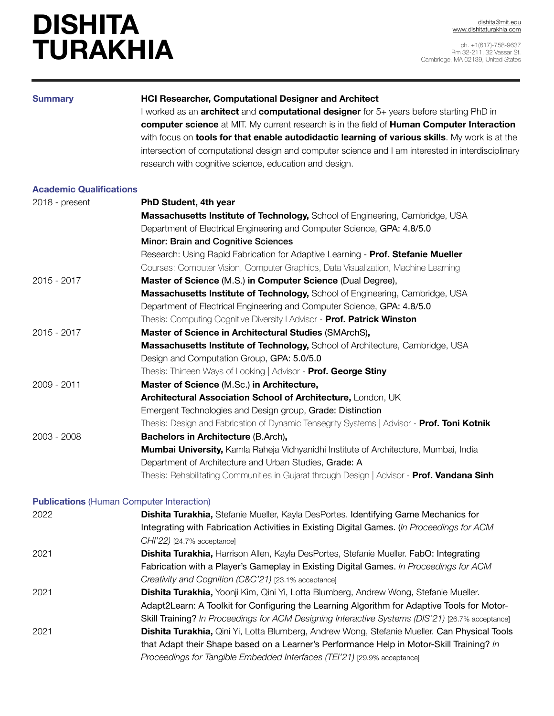# **DISHITA TURAKHIA**

ph. +1(617)-758-9637 Rm 32-211, 32 Vassar St. Cambridge, MA 02139, United States

#### **Summary HCI Researcher, Computational Designer and Architect**

I worked as an **architect** and **computational designer** for 5+ years before starting PhD in **computer science** at MIT. My current research is in the field of **Human Computer Interaction** with focus on **tools for that enable autodidactic learning of various skills**. My work is at the intersection of computational design and computer science and I am interested in interdisciplinary research with cognitive science, education and design.

#### **Academic Qualifications**

| $2018$ - present | PhD Student, 4th year                                                                              |
|------------------|----------------------------------------------------------------------------------------------------|
|                  | Massachusetts Institute of Technology, School of Engineering, Cambridge, USA                       |
|                  | Department of Electrical Engineering and Computer Science, GPA: 4.8/5.0                            |
|                  | Minor: Brain and Cognitive Sciences                                                                |
|                  | Research: Using Rapid Fabrication for Adaptive Learning - <b>Prof. Stefanie Mueller</b>            |
|                  | Courses: Computer Vision, Computer Graphics, Data Visualization, Machine Leaming                   |
| $2015 - 2017$    | Master of Science (M.S.) in Computer Science (Dual Degree),                                        |
|                  | Massachusetts Institute of Technology, School of Engineering, Cambridge, USA                       |
|                  | Department of Electrical Engineering and Computer Science, GPA: 4.8/5.0                            |
|                  | Thesis: Computing Cognitive Diversity   Advisor - <b>Prof. Patrick Winston</b>                     |
| $2015 - 2017$    | Master of Science in Architectural Studies (SMArchS),                                              |
|                  | Massachusetts Institute of Technology, School of Architecture, Cambridge, USA                      |
|                  | Design and Computation Group, GPA: 5.0/5.0                                                         |
|                  | Thesis: Thirteen Ways of Looking   Advisor - Prof. George Stiny                                    |
| $2009 - 2011$    | Master of Science (M.Sc.) in Architecture,                                                         |
|                  | Architectural Association School of Architecture, London, UK                                       |
|                  | Emergent Technologies and Design group, Grade: Distinction                                         |
|                  | Thesis: Design and Fabrication of Dynamic Tensegrity Systems   Advisor - <b>Prof. Toni Kotnik</b>  |
| 2003 - 2008      | <b>Bachelors in Architecture (B.Arch),</b>                                                         |
|                  | <b>Mumbai University, Kamla Raheja Vidhyanidhi Institute of Architecture, Mumbai, India</b>        |
|                  | Department of Architecture and Urban Studies, Grade: A                                             |
|                  | Thesis: Rehabilitating Communities in Gujarat through Design   Advisor - <b>Prof. Vandana Sinh</b> |

## **Publications** (Human Computer Interaction)

| 2022 | Dishita Turakhia, Stefanie Mueller, Kayla DesPortes. Identifying Game Mechanics for                 |
|------|-----------------------------------------------------------------------------------------------------|
|      | Integrating with Fabrication Activities in Existing Digital Games. (In Proceedings for ACM          |
|      | $CHI'22$ ) [24.7% acceptance]                                                                       |
| 2021 | Dishita Turakhia, Harrison Allen, Kayla DesPortes, Stefanie Mueller. FabO: Integrating              |
|      | Fabrication with a Player's Gameplay in Existing Digital Games. In Proceedings for ACM              |
|      | Creativity and Cognition (C&C'21) [23.1% acceptance]                                                |
| 2021 | Dishita Turakhia, Yoonji Kim, Qini Yi, Lotta Blumberg, Andrew Wong, Stefanie Mueller.               |
|      | Adapt2Learn: A Toolkit for Configuring the Learning Algorithm for Adaptive Tools for Motor-         |
|      | Skill Training? In Proceedings for ACM Designing Interactive Systems (DIS'21) [26.7% acceptance]    |
| 2021 | <b>Dishita Turakhia,</b> Qini Yi, Lotta Blumberg, Andrew Wong, Stefanie Mueller. Can Physical Tools |
|      | that Adapt their Shape based on a Learner's Performance Help in Motor-Skill Training? In            |
|      | Proceedings for Tangible Embedded Interfaces (TEI'21) [29.9% acceptance]                            |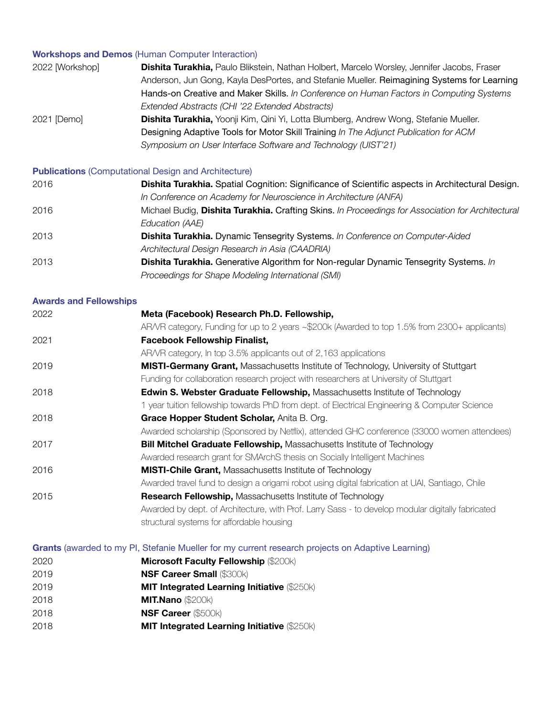### **Workshops and Demos** (Human Computer Interaction)

| 2022 [Workshop] | Dishita Turakhia, Paulo Blikstein, Nathan Holbert, Marcelo Worsley, Jennifer Jacobs, Fraser  |
|-----------------|----------------------------------------------------------------------------------------------|
|                 | Anderson, Jun Gong, Kayla DesPortes, and Stefanie Mueller. Reimagining Systems for Learning  |
|                 | Hands-on Creative and Maker Skills. In Conference on Human Factors in Computing Systems      |
|                 | Extended Abstracts (CHI '22 Extended Abstracts)                                              |
| 2021 [Demo]     | <b>Dishita Turakhia,</b> Yoonji Kim, Qini Yi, Lotta Blumberg, Andrew Wong, Stefanie Mueller. |
|                 | Designing Adaptive Tools for Motor Skill Training In The Adjunct Publication for ACM         |
|                 | Symposium on User Interface Software and Technology (UIST'21)                                |

**Publications** (Computational Design and Architecture)

| 2016 | Dishita Turakhia. Spatial Cognition: Significance of Scientific aspects in Architectural Design.  |
|------|---------------------------------------------------------------------------------------------------|
|      | In Conference on Academy for Neuroscience in Architecture (ANFA)                                  |
| 2016 | Michael Budig, Dishita Turakhia. Crafting Skins. In Proceedings for Association for Architectural |
|      | Education (AAE)                                                                                   |
| 2013 | <b>Dishita Turakhia.</b> Dynamic Tensegrity Systems. In Conference on Computer-Aided              |
|      | Architectural Design Research in Asia (CAADRIA)                                                   |
| 2013 | Dishita Turakhia. Generative Algorithm for Non-regular Dynamic Tensegrity Systems. In             |
|      | Proceedings for Shape Modeling International (SMI)                                                |

#### **Awards and Fellowships**

| 2022 | Meta (Facebook) Research Ph.D. Fellowship,                                                        |
|------|---------------------------------------------------------------------------------------------------|
|      | AR/VR category, Funding for up to 2 years ~\$200k (Awarded to top 1.5% from 2300+ applicants)     |
| 2021 | <b>Facebook Fellowship Finalist,</b>                                                              |
|      | AR/VR category, In top 3.5% applicants out of 2,163 applications                                  |
| 2019 | <b>MISTI-Germany Grant, Massachusetts Institute of Technology, University of Stuttgart</b>        |
|      | Funding for collaboration research project with researchers at University of Stuttgart            |
| 2018 | <b>Edwin S. Webster Graduate Fellowship, Massachusetts Institute of Technology</b>                |
|      | 1 year tuition fellowship towards PhD from dept. of Electrical Engineering & Computer Science     |
| 2018 | Grace Hopper Student Scholar, Anita B. Org.                                                       |
|      | Awarded scholarship (Sponsored by Netflix), attended GHC conference (33000 women attendees)       |
| 2017 | <b>Bill Mitchel Graduate Fellowship, Massachusetts Institute of Technology</b>                    |
|      | Awarded research grant for SMArchS thesis on Socially Intelligent Machines                        |
| 2016 | <b>MISTI-Chile Grant, Massachusetts Institute of Technology</b>                                   |
|      | Awarded travel fund to design a origami robot using digital fabrication at UAI, Santiago, Chile   |
| 2015 | <b>Research Fellowship, Massachusetts Institute of Technology</b>                                 |
|      | Awarded by dept. of Architecture, with Prof. Larry Sass - to develop modular digitally fabricated |
|      | structural systems for affordable housing                                                         |
|      |                                                                                                   |

|      | Grants (awarded to my PI, Stefanie Mueller for my current research projects on Adaptive Learning) |
|------|---------------------------------------------------------------------------------------------------|
| 2020 | <b>Microsoft Faculty Fellowship (\$200k)</b>                                                      |
| 2019 | <b>NSF Career Small (\$300k)</b>                                                                  |
| 2019 | <b>MIT Integrated Learning Initiative (\$250k)</b>                                                |
| 2018 | <b>MIT.Nano</b> (\$200k)                                                                          |
| 2018 | <b>NSF Career (\$500k)</b>                                                                        |
| 2018 | <b>MIT Integrated Learning Initiative (\$250k)</b>                                                |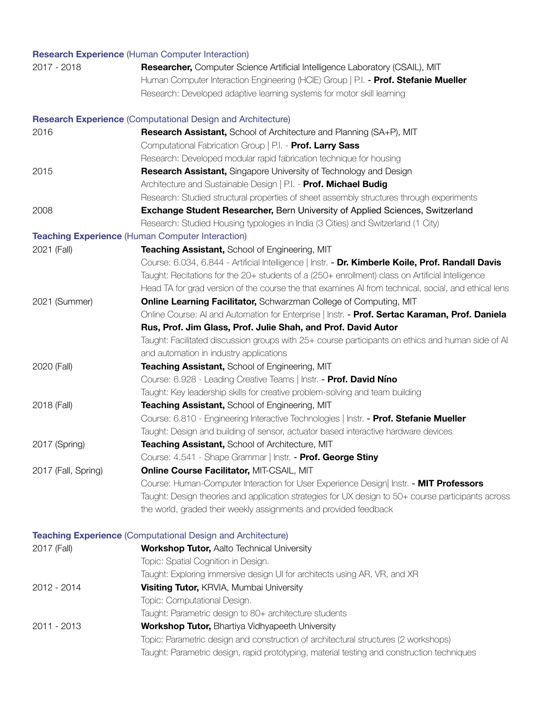|                     | <b>Research Experience (Human Computer Interaction)</b>                                              |
|---------------------|------------------------------------------------------------------------------------------------------|
| 2017 - 2018         | Researcher, Computer Science Artificial Intelligence Laboratory (CSAIL), MIT                         |
|                     | Human Computer Interaction Engineering (HCIE) Group   P.I. - Prof. Stefanie Mueller                  |
|                     | Research: Developed adaptive learning systems for motor skill learning                               |
|                     | <b>Research Experience (Computational Design and Architecture)</b>                                   |
| 2016                | <b>Research Assistant, School of Architecture and Planning (SA+P), MIT</b>                           |
|                     | Computational Fabrication Group   P.I. - Prof. Larry Sass                                            |
|                     | Research: Developed modular rapid fabrication technique for housing                                  |
| 2015                | <b>Research Assistant, Singapore University of Technology and Design</b>                             |
|                     | Architecture and Sustainable Design   P.I. - Prof. Michael Budig                                     |
|                     | Research: Studied structural properties of sheet assembly structures through experiments             |
| 2008                | Exchange Student Researcher, Bern University of Applied Sciences, Switzerland                        |
|                     | Research: Studied Housing typologies in India (3 Cities) and Switzerland (1 City)                    |
|                     | <b>Teaching Experience (Human Computer Interaction)</b>                                              |
| 2021 (Fall)         | Teaching Assistant, School of Engineering, MIT                                                       |
|                     | Course: 6.034, 6.844 - Artificial Intelligence   Instr. - Dr. Kimberle Koile, Prof. Randall Davis    |
|                     | Taught: Recitations for the 20+ students of a (250+ enrollment) class on Artificial Intelligence     |
|                     | Head TA for grad version of the course the that examines AI from technical, social, and ethical lens |
| 2021 (Summer)       | <b>Online Learning Facilitator, Schwarzman College of Computing, MIT</b>                             |
|                     | Online Course: Al and Automation for Enterprise   Instr. - Prof. Sertac Karaman, Prof. Daniela       |
|                     | Rus, Prof. Jim Glass, Prof. Julie Shah, and Prof. David Autor                                        |
|                     | Taught: Facilitated discussion groups with 25+ course participants on ethics and human side of AI    |
|                     | and automation in industry applications                                                              |
| 2020 (Fall)         | Teaching Assistant, School of Engineering, MIT                                                       |
|                     | Course: 6.928 - Leading Creative Teams   Instr. - Prof. David Níno                                   |
|                     | Taught: Key leadership skills for creative problem-solving and team building                         |
| 2018 (Fall)         | Teaching Assistant, School of Engineering, MIT                                                       |
|                     | Course: 6.810 - Engineering Interactive Technologies   Instr. - Prof. Stefanie Mueller               |
|                     | Taught: Design and building of sensor, actuator based interactive hardware devices                   |
| 2017 (Spring)       | Teaching Assistant, School of Architecture, MIT                                                      |
|                     | Course: 4.541 - Shape Grammar   Instr. - Prof. George Stiny                                          |
| 2017 (Fall, Spring) | Online Course Facilitator, MIT-CSAIL, MIT                                                            |
|                     | Course: Human-Computer Interaction for User Experience Design  Instr. - MIT Professors               |
|                     | Taught: Design theories and application strategies for UX design to 50+ course participants across   |
|                     | the world, graded their weekly assignments and provided feedback                                     |
|                     | <b>Teaching Experience (Computational Design and Architecture)</b>                                   |
| 2017 (Fall)         | <b>Workshop Tutor, Aalto Technical University</b>                                                    |
|                     | Topic: Spatial Cognition in Design.                                                                  |
|                     | Taught: Exploring immersive design UI for architects using AR, VR, and XR                            |
| 2012 - 2014         | Visiting Tutor, KRVIA, Mumbai University                                                             |
|                     | Topic: Computational Design.                                                                         |
|                     | Taught: Parametric design to 80+ architecture students                                               |
| 2011 - 2013         | <b>Workshop Tutor, Bhartiya Vidhyapeeth University</b>                                               |
|                     | Topic: Parametric design and construction of architectural structures (2 workshops)                  |
|                     | Taught: Parametric design, rapid prototyping, material testing and construction techniques           |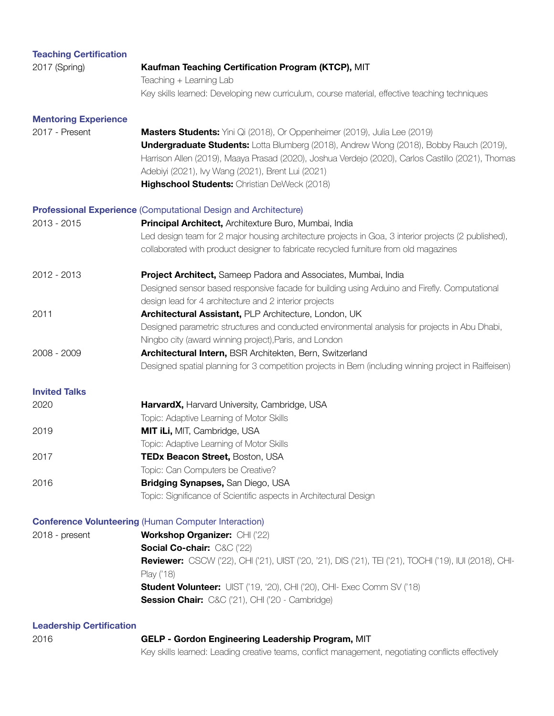| <b>Teaching Certification</b>   |                                                                                                              |
|---------------------------------|--------------------------------------------------------------------------------------------------------------|
| 2017 (Spring)                   | Kaufman Teaching Certification Program (KTCP), MIT                                                           |
|                                 | Teaching + Learning Lab                                                                                      |
|                                 | Key skills learned: Developing new curriculum, course material, effective teaching techniques                |
| <b>Mentoring Experience</b>     |                                                                                                              |
| 2017 - Present                  | <b>Masters Students:</b> Yini Qi (2018), Or Oppenheimer (2019), Julia Lee (2019)                             |
|                                 | <b>Undergraduate Students:</b> Lotta Blumberg (2018), Andrew Wong (2018), Bobby Rauch (2019),                |
|                                 | Harrison Allen (2019), Maaya Prasad (2020), Joshua Verdejo (2020), Carlos Castillo (2021), Thomas            |
|                                 | Adebiyi (2021), Ivy Wang (2021), Brent Lui (2021)                                                            |
|                                 | Highschool Students: Christian DeWeck (2018)                                                                 |
|                                 | <b>Professional Experience (Computational Design and Architecture)</b>                                       |
| 2013 - 2015                     | Principal Architect, Architexture Buro, Mumbai, India                                                        |
|                                 | Led design team for 2 major housing architecture projects in Goa, 3 interior projects (2 published),         |
|                                 | collaborated with product designer to fabricate recycled furniture from old magazines                        |
| 2012 - 2013                     | Project Architect, Sameep Padora and Associates, Mumbai, India                                               |
|                                 | Designed sensor based responsive facade for building using Arduino and Firefly. Computational                |
|                                 | design lead for 4 architecture and 2 interior projects                                                       |
| 2011                            | Architectural Assistant, PLP Architecture, London, UK                                                        |
|                                 | Designed parametric structures and conducted environmental analysis for projects in Abu Dhabi,               |
|                                 | Ningbo city (award winning project), Paris, and London                                                       |
| 2008 - 2009                     | Architectural Intern, BSR Architekten, Bern, Switzerland                                                     |
|                                 | Designed spatial planning for 3 competition projects in Bern (including winning project in Raiffeisen)       |
| <b>Invited Talks</b>            |                                                                                                              |
| 2020                            | HarvardX, Harvard University, Cambridge, USA                                                                 |
|                                 | Topic: Adaptive Learning of Motor Skills                                                                     |
| 2019                            | MIT iLi, MIT, Cambridge, USA                                                                                 |
|                                 | Topic: Adaptive Learning of Motor Skills                                                                     |
| 2017                            | TEDx Beacon Street, Boston, USA                                                                              |
|                                 | Topic: Can Computers be Creative?                                                                            |
| 2016                            | Bridging Synapses, San Diego, USA                                                                            |
|                                 | Topic: Significance of Scientific aspects in Architectural Design                                            |
|                                 | <b>Conference Volunteering (Human Computer Interaction)</b>                                                  |
| 2018 - present                  | Workshop Organizer: CHI ('22)                                                                                |
|                                 | Social Co-chair: C&C ('22)                                                                                   |
|                                 | <b>Reviewer:</b> CSCW ('22), CHI ('21), UIST ('20, '21), DIS ('21), TEI ('21), TOCHI ('19), IUI (2018), CHI- |
|                                 | Play ('18)                                                                                                   |
|                                 | <b>Student Volunteer:</b> UIST ('19, '20), CHI ('20), CHI- Exec Comm SV ('18)                                |
|                                 | Session Chair: C&C ('21), CHI ('20 - Cambridge)                                                              |
| <b>Leadership Certification</b> |                                                                                                              |
| 2016                            | GELP - Gordon Engineering Leadership Program, MIT                                                            |
|                                 | Key skills learned: Leading creative teams, conflict management, negotiating conflicts effectively           |